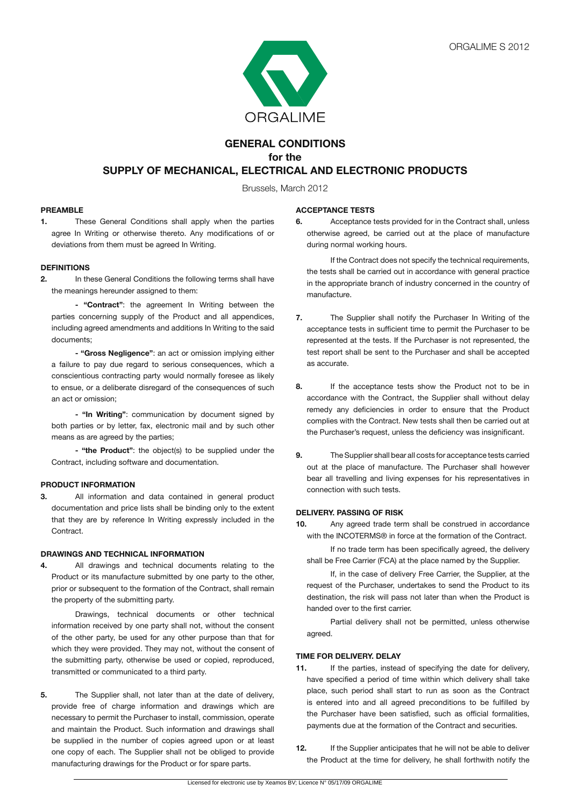

# **GENERAL CONDITIONS for the SUPPLY OF MECHANICAL, ELECTRICAL AND ELECTRONIC PRODUCTS**

Brussels, March 2012

# **PREAMBLE**

**1.** These General Conditions shall apply when the parties agree In Writing or otherwise thereto. Any modifications of or deviations from them must be agreed In Writing.

# **DEFINITIONS**

**2.** In these General Conditions the following terms shall have the meanings hereunder assigned to them:

**- "Contract"**: the agreement In Writing between the parties concerning supply of the Product and all appendices, including agreed amendments and additions In Writing to the said documents;

**- "Gross Negligence"**: an act or omission implying either a failure to pay due regard to serious consequences, which a conscientious contracting party would normally foresee as likely to ensue, or a deliberate disregard of the consequences of such an act or omission;

 **- "In Writing"**: communication by document signed by both parties or by letter, fax, electronic mail and by such other means as are agreed by the parties;

**- "the Product"**: the object(s) to be supplied under the Contract, including software and documentation.

# **PRODUCT INFORMATION**

**3.** All information and data contained in general product documentation and price lists shall be binding only to the extent that they are by reference In Writing expressly included in the Contract.

# **DRAWINGS AND TECHNICAL INFORMATION**

**4.** All drawings and technical documents relating to the Product or its manufacture submitted by one party to the other, prior or subsequent to the formation of the Contract, shall remain the property of the submitting party.

 Drawings, technical documents or other technical information received by one party shall not, without the consent of the other party, be used for any other purpose than that for which they were provided. They may not, without the consent of the submitting party, otherwise be used or copied, reproduced, transmitted or communicated to a third party.

**5.** The Supplier shall, not later than at the date of delivery, provide free of charge information and drawings which are necessary to permit the Purchaser to install, commission, operate and maintain the Product. Such information and drawings shall be supplied in the number of copies agreed upon or at least one copy of each. The Supplier shall not be obliged to provide manufacturing drawings for the Product or for spare parts.

# **ACCEPTANCE TESTS**

**6.** Acceptance tests provided for in the Contract shall, unless otherwise agreed, be carried out at the place of manufacture during normal working hours.

 If the Contract does not specify the technical requirements, the tests shall be carried out in accordance with general practice in the appropriate branch of industry concerned in the country of manufacture.

- **7.** The Supplier shall notify the Purchaser In Writing of the acceptance tests in sufficient time to permit the Purchaser to be represented at the tests. If the Purchaser is not represented, the test report shall be sent to the Purchaser and shall be accepted as accurate.
- **8.** If the acceptance tests show the Product not to be in accordance with the Contract, the Supplier shall without delay remedy any deficiencies in order to ensure that the Product complies with the Contract. New tests shall then be carried out at the Purchaser's request, unless the deficiency was insignificant.
- **9.** The Supplier shall bear all costs for acceptance tests carried out at the place of manufacture. The Purchaser shall however bear all travelling and living expenses for his representatives in connection with such tests.

# **DELIVERY. PASSING OF RISK**

**10.** Any agreed trade term shall be construed in accordance with the INCOTERMS® in force at the formation of the Contract.

 If no trade term has been specifically agreed, the delivery shall be Free Carrier (FCA) at the place named by the Supplier.

 If, in the case of delivery Free Carrier, the Supplier, at the request of the Purchaser, undertakes to send the Product to its destination, the risk will pass not later than when the Product is handed over to the first carrier.

 Partial delivery shall not be permitted, unless otherwise agreed.

# **TIME FOR DELIVERY. DELAY**

- **11.** If the parties, instead of specifying the date for delivery, have specified a period of time within which delivery shall take place, such period shall start to run as soon as the Contract is entered into and all agreed preconditions to be fulfilled by the Purchaser have been satisfied, such as official formalities, payments due at the formation of the Contract and securities.
- **12.** If the Supplier anticipates that he will not be able to deliver the Product at the time for delivery, he shall forthwith notify the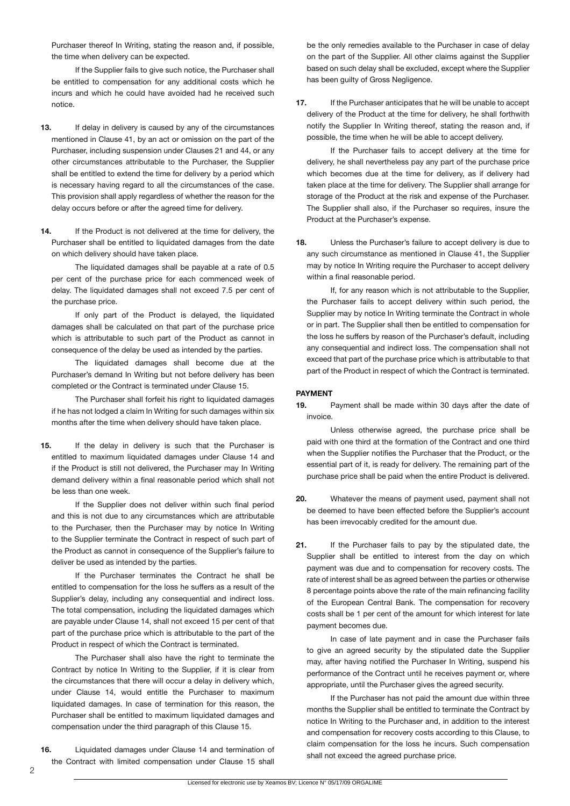Purchaser thereof In Writing, stating the reason and, if possible, the time when delivery can be expected.

 If the Supplier fails to give such notice, the Purchaser shall be entitled to compensation for any additional costs which he incurs and which he could have avoided had he received such notice.

- **13.** If delay in delivery is caused by any of the circumstances mentioned in Clause 41, by an act or omission on the part of the Purchaser, including suspension under Clauses 21 and 44, or any other circumstances attributable to the Purchaser, the Supplier shall be entitled to extend the time for delivery by a period which is necessary having regard to all the circumstances of the case. This provision shall apply regardless of whether the reason for the delay occurs before or after the agreed time for delivery.
- 14. If the Product is not delivered at the time for delivery, the Purchaser shall be entitled to liquidated damages from the date on which delivery should have taken place.

 The liquidated damages shall be payable at a rate of 0.5 per cent of the purchase price for each commenced week of delay. The liquidated damages shall not exceed 7.5 per cent of the purchase price.

 If only part of the Product is delayed, the liquidated damages shall be calculated on that part of the purchase price which is attributable to such part of the Product as cannot in consequence of the delay be used as intended by the parties.

 The liquidated damages shall become due at the Purchaser's demand In Writing but not before delivery has been completed or the Contract is terminated under Clause 15.

 The Purchaser shall forfeit his right to liquidated damages if he has not lodged a claim In Writing for such damages within six months after the time when delivery should have taken place.

**15.** If the delay in delivery is such that the Purchaser is entitled to maximum liquidated damages under Clause 14 and if the Product is still not delivered, the Purchaser may In Writing demand delivery within a final reasonable period which shall not be less than one week.

 If the Supplier does not deliver within such final period and this is not due to any circumstances which are attributable to the Purchaser, then the Purchaser may by notice In Writing to the Supplier terminate the Contract in respect of such part of the Product as cannot in consequence of the Supplier's failure to deliver be used as intended by the parties.

 If the Purchaser terminates the Contract he shall be entitled to compensation for the loss he suffers as a result of the Supplier's delay, including any consequential and indirect loss. The total compensation, including the liquidated damages which are payable under Clause 14, shall not exceed 15 per cent of that part of the purchase price which is attributable to the part of the Product in respect of which the Contract is terminated.

 The Purchaser shall also have the right to terminate the Contract by notice In Writing to the Supplier, if it is clear from the circumstances that there will occur a delay in delivery which, under Clause 14, would entitle the Purchaser to maximum liquidated damages. In case of termination for this reason, the Purchaser shall be entitled to maximum liquidated damages and compensation under the third paragraph of this Clause 15.

**16.** Liquidated damages under Clause 14 and termination of the Contract with limited compensation under Clause 15 shall

be the only remedies available to the Purchaser in case of delay on the part of the Supplier. All other claims against the Supplier based on such delay shall be excluded, except where the Supplier has been guilty of Gross Negligence.

**17.** If the Purchaser anticipates that he will be unable to accept delivery of the Product at the time for delivery, he shall forthwith notify the Supplier In Writing thereof, stating the reason and, if possible, the time when he will be able to accept delivery.

 If the Purchaser fails to accept delivery at the time for delivery, he shall nevertheless pay any part of the purchase price which becomes due at the time for delivery, as if delivery had taken place at the time for delivery. The Supplier shall arrange for storage of the Product at the risk and expense of the Purchaser. The Supplier shall also, if the Purchaser so requires, insure the Product at the Purchaser's expense.

**18.** Unless the Purchaser's failure to accept delivery is due to any such circumstance as mentioned in Clause 41, the Supplier may by notice In Writing require the Purchaser to accept delivery within a final reasonable period.

 If, for any reason which is not attributable to the Supplier, the Purchaser fails to accept delivery within such period, the Supplier may by notice In Writing terminate the Contract in whole or in part. The Supplier shall then be entitled to compensation for the loss he suffers by reason of the Purchaser's default, including any consequential and indirect loss. The compensation shall not exceed that part of the purchase price which is attributable to that part of the Product in respect of which the Contract is terminated.

# **PAYMENT**

**19.** Payment shall be made within 30 days after the date of invoice.

 Unless otherwise agreed, the purchase price shall be paid with one third at the formation of the Contract and one third when the Supplier notifies the Purchaser that the Product, or the essential part of it, is ready for delivery. The remaining part of the purchase price shall be paid when the entire Product is delivered.

- **20.** Whatever the means of payment used, payment shall not be deemed to have been effected before the Supplier's account has been irrevocably credited for the amount due.
- **21.** If the Purchaser fails to pay by the stipulated date, the Supplier shall be entitled to interest from the day on which payment was due and to compensation for recovery costs. The rate of interest shall be as agreed between the parties or otherwise 8 percentage points above the rate of the main refinancing facility of the European Central Bank. The compensation for recovery costs shall be 1 per cent of the amount for which interest for late payment becomes due.

 In case of late payment and in case the Purchaser fails to give an agreed security by the stipulated date the Supplier may, after having notified the Purchaser In Writing, suspend his performance of the Contract until he receives payment or, where appropriate, until the Purchaser gives the agreed security.

 If the Purchaser has not paid the amount due within three months the Supplier shall be entitled to terminate the Contract by notice In Writing to the Purchaser and, in addition to the interest and compensation for recovery costs according to this Clause, to claim compensation for the loss he incurs. Such compensation shall not exceed the agreed purchase price.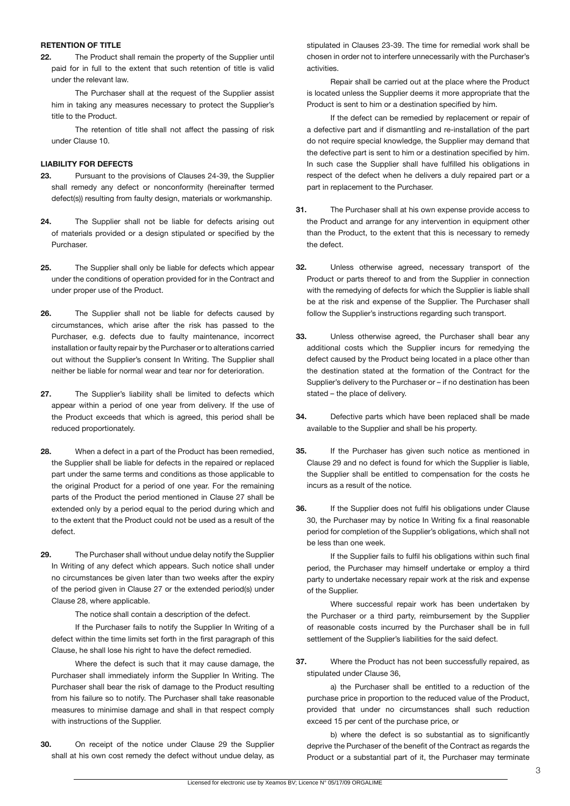#### **RETENTION OF TITLE**

**22.** The Product shall remain the property of the Supplier until paid for in full to the extent that such retention of title is valid under the relevant law.

 The Purchaser shall at the request of the Supplier assist him in taking any measures necessary to protect the Supplier's title to the Product.

 The retention of title shall not affect the passing of risk under Clause 10.

# **LIABILITY FOR DEFECTS**

- **23.** Pursuant to the provisions of Clauses 24-39, the Supplier shall remedy any defect or nonconformity (hereinafter termed defect(s)) resulting from faulty design, materials or workmanship.
- **24.** The Supplier shall not be liable for defects arising out of materials provided or a design stipulated or specified by the Purchaser.
- **25.** The Supplier shall only be liable for defects which appear under the conditions of operation provided for in the Contract and under proper use of the Product.
- **26.** The Supplier shall not be liable for defects caused by circumstances, which arise after the risk has passed to the Purchaser, e.g. defects due to faulty maintenance, incorrect installation or faulty repair by the Purchaser or to alterations carried out without the Supplier's consent In Writing. The Supplier shall neither be liable for normal wear and tear nor for deterioration.
- **27.** The Supplier's liability shall be limited to defects which appear within a period of one year from delivery. If the use of the Product exceeds that which is agreed, this period shall be reduced proportionately.
- **28.** When a defect in a part of the Product has been remedied, the Supplier shall be liable for defects in the repaired or replaced part under the same terms and conditions as those applicable to the original Product for a period of one year. For the remaining parts of the Product the period mentioned in Clause 27 shall be extended only by a period equal to the period during which and to the extent that the Product could not be used as a result of the defect.
- **29.** The Purchaser shall without undue delay notify the Supplier In Writing of any defect which appears. Such notice shall under no circumstances be given later than two weeks after the expiry of the period given in Clause 27 or the extended period(s) under Clause 28, where applicable.

 The notice shall contain a description of the defect.

 If the Purchaser fails to notify the Supplier In Writing of a defect within the time limits set forth in the first paragraph of this Clause, he shall lose his right to have the defect remedied.

 Where the defect is such that it may cause damage, the Purchaser shall immediately inform the Supplier In Writing. The Purchaser shall bear the risk of damage to the Product resulting from his failure so to notify. The Purchaser shall take reasonable measures to minimise damage and shall in that respect comply with instructions of the Supplier.

**30.** On receipt of the notice under Clause 29 the Supplier shall at his own cost remedy the defect without undue delay, as

stipulated in Clauses 23-39. The time for remedial work shall be chosen in order not to interfere unnecessarily with the Purchaser's activities.

 Repair shall be carried out at the place where the Product is located unless the Supplier deems it more appropriate that the Product is sent to him or a destination specified by him.

 If the defect can be remedied by replacement or repair of a defective part and if dismantling and re-installation of the part do not require special knowledge, the Supplier may demand that the defective part is sent to him or a destination specified by him. In such case the Supplier shall have fulfilled his obligations in respect of the defect when he delivers a duly repaired part or a part in replacement to the Purchaser.

- **31.** The Purchaser shall at his own expense provide access to the Product and arrange for any intervention in equipment other than the Product, to the extent that this is necessary to remedy the defect.
- **32.** Unless otherwise agreed, necessary transport of the Product or parts thereof to and from the Supplier in connection with the remedying of defects for which the Supplier is liable shall be at the risk and expense of the Supplier. The Purchaser shall follow the Supplier's instructions regarding such transport.
- **33.** Unless otherwise agreed, the Purchaser shall bear any additional costs which the Supplier incurs for remedying the defect caused by the Product being located in a place other than the destination stated at the formation of the Contract for the Supplier's delivery to the Purchaser or – if no destination has been stated – the place of delivery.
- **34.** Defective parts which have been replaced shall be made available to the Supplier and shall be his property.
- **35.** If the Purchaser has given such notice as mentioned in Clause 29 and no defect is found for which the Supplier is liable, the Supplier shall be entitled to compensation for the costs he incurs as a result of the notice.
- **36.** If the Supplier does not fulfil his obligations under Clause 30, the Purchaser may by notice In Writing fix a final reasonable period for completion of the Supplier's obligations, which shall not be less than one week.

 If the Supplier fails to fulfil his obligations within such final period, the Purchaser may himself undertake or employ a third party to undertake necessary repair work at the risk and expense of the Supplier.

 Where successful repair work has been undertaken by the Purchaser or a third party, reimbursement by the Supplier of reasonable costs incurred by the Purchaser shall be in full settlement of the Supplier's liabilities for the said defect.

**37.** Where the Product has not been successfully repaired, as stipulated under Clause 36,

 a) the Purchaser shall be entitled to a reduction of the purchase price in proportion to the reduced value of the Product, provided that under no circumstances shall such reduction exceed 15 per cent of the purchase price, or

b) where the defect is so substantial as to significantly deprive the Purchaser of the benefit of the Contract as regards the Product or a substantial part of it, the Purchaser may terminate